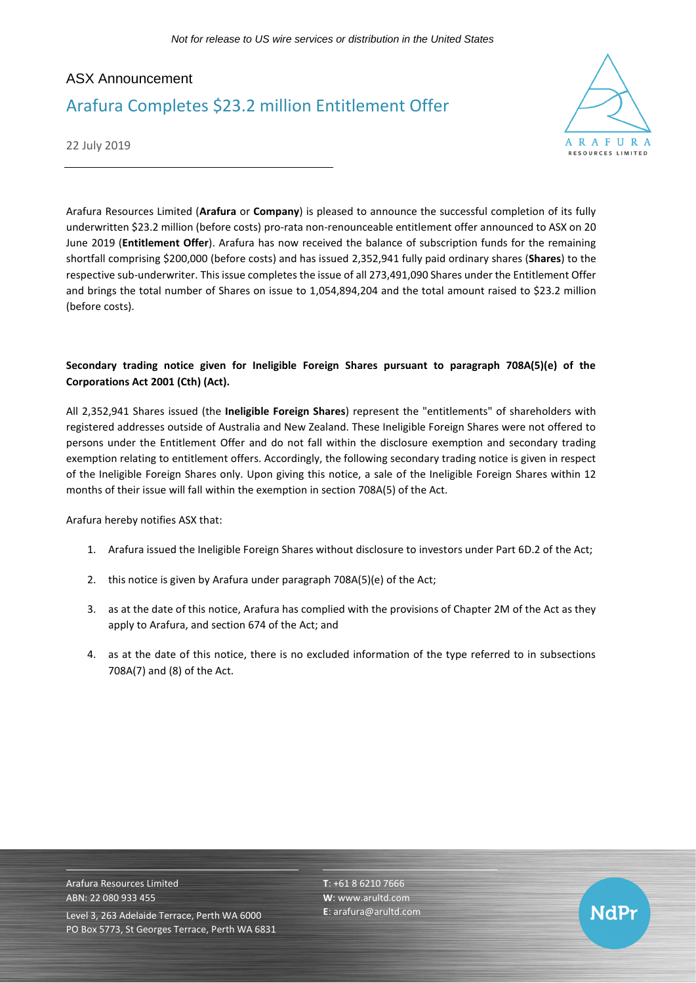## ASX Announcement Arafura Completes \$23.2 million Entitlement Offer



22 July 2019

Arafura Resources Limited (**Arafura** or **Company**) is pleased to announce the successful completion of its fully underwritten \$23.2 million (before costs) pro-rata non-renounceable entitlement offer announced to ASX on 20 June 2019 (**Entitlement Offer**). Arafura has now received the balance of subscription funds for the remaining shortfall comprising \$200,000 (before costs) and has issued 2,352,941 fully paid ordinary shares (**Shares**) to the respective sub-underwriter. This issue completes the issue of all 273,491,090 Shares under the Entitlement Offer and brings the total number of Shares on issue to 1,054,894,204 and the total amount raised to \$23.2 million (before costs).

## **Secondary trading notice given for Ineligible Foreign Shares pursuant to paragraph 708A(5)(e) of the Corporations Act 2001 (Cth) (Act).**

All 2,352,941 Shares issued (the **Ineligible Foreign Shares**) represent the "entitlements" of shareholders with registered addresses outside of Australia and New Zealand. These Ineligible Foreign Shares were not offered to persons under the Entitlement Offer and do not fall within the disclosure exemption and secondary trading exemption relating to entitlement offers. Accordingly, the following secondary trading notice is given in respect of the Ineligible Foreign Shares only. Upon giving this notice, a sale of the Ineligible Foreign Shares within 12 months of their issue will fall within the exemption in section 708A(5) of the Act.

Arafura hereby notifies ASX that:

- 1. Arafura issued the Ineligible Foreign Shares without disclosure to investors under Part 6D.2 of the Act;
- 2. this notice is given by Arafura under paragraph 708A(5)(e) of the Act;
- 3. as at the date of this notice, Arafura has complied with the provisions of Chapter 2M of the Act as they apply to Arafura, and section 674 of the Act; and
- 4. as at the date of this notice, there is no excluded information of the type referred to in subsections 708A(7) and (8) of the Act.

Arafura Resources Limited ABN: 22 080 933 455 Level 3, 263 Adelaide Terrace, Perth WA 6000 PO Box 5773, St Georges Terrace, Perth WA 6831 **T**: +61 8 6210 7666 **W**: [www.arultd.com](http://www.arultd.com/) **E**[: arafura@arultd.com](mailto:arafura@arultd.com)